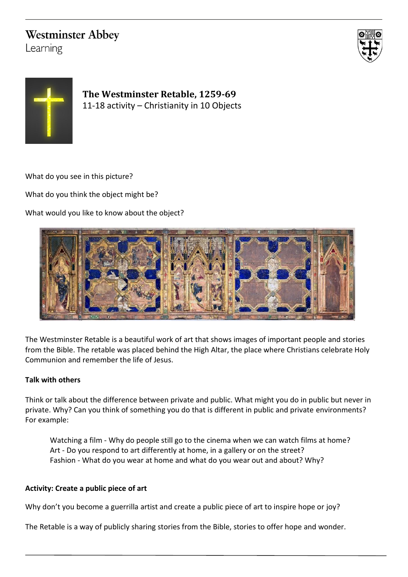## **Westminster Abbey**

Learning





**The Westminster Retable, 1259-69** 11-18 activity – Christianity in 10 Objects

What do you see in this picture?

What do you think the object might be?

What would you like to know about the object?



The Westminster Retable is a beautiful work of art that shows images of important people and stories from the Bible. The retable was placed behind the High Altar, the place where Christians celebrate Holy Communion and remember the life of Jesus.

## **Talk with others**

Think or talk about the difference between private and public. What might you do in public but never in private. Why? Can you think of something you do that is different in public and private environments? For example:

Watching a film - Why do people still go to the cinema when we can watch films at home? Art - Do you respond to art differently at home, in a gallery or on the street? Fashion - What do you wear at home and what do you wear out and about? Why?

## **Activity: Create a public piece of art**

Why don't you become a guerrilla artist and create a public piece of art to inspire hope or joy?

The Retable is a way of publicly sharing stories from the Bible, stories to offer hope and wonder.